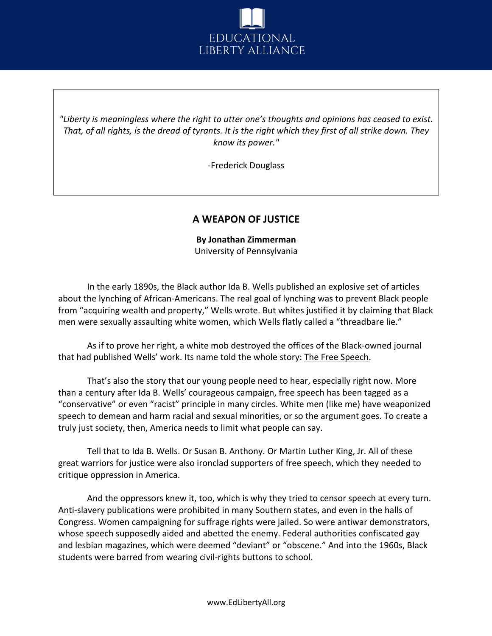

*"Liberty is meaningless where the right to utter one's thoughts and opinions has ceased to exist. That, of all rights, is the dread of tyrants. It is the right which they first of all strike down. They know its power."*

-Frederick Douglass

## **A WEAPON OF JUSTICE**

**By Jonathan Zimmerman** University of Pennsylvania

In the early 1890s, the Black author Ida B. Wells published an explosive set of articles about the lynching of African-Americans. The real goal of lynching was to prevent Black people from "acquiring wealth and property," Wells wrote. But whites justified it by claiming that Black men were sexually assaulting white women, which Wells flatly called a "threadbare lie."

As if to prove her right, a white mob destroyed the offices of the Black-owned journal that had published Wells' work. Its name told the whole story: The Free Speech.

That's also the story that our young people need to hear, especially right now. More than a century after Ida B. Wells' courageous campaign, free speech has been tagged as a "conservative" or even "racist" principle in many circles. White men (like me) have weaponized speech to demean and harm racial and sexual minorities, or so the argument goes. To create a truly just society, then, America needs to limit what people can say.

Tell that to Ida B. Wells. Or Susan B. Anthony. Or Martin Luther King, Jr. All of these great warriors for justice were also ironclad supporters of free speech, which they needed to critique oppression in America.

And the oppressors knew it, too, which is why they tried to censor speech at every turn. Anti-slavery publications were prohibited in many Southern states, and even in the halls of Congress. Women campaigning for suffrage rights were jailed. So were antiwar demonstrators, whose speech supposedly aided and abetted the enemy. Federal authorities confiscated gay and lesbian magazines, which were deemed "deviant" or "obscene." And into the 1960s, Black students were barred from wearing civil-rights buttons to school.